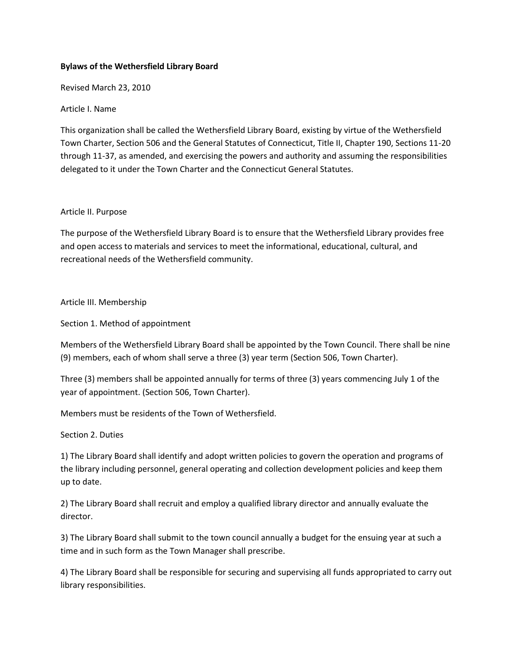## **Bylaws of the Wethersfield Library Board**

Revised March 23, 2010

Article I. Name

This organization shall be called the Wethersfield Library Board, existing by virtue of the Wethersfield Town Charter, Section 506 and the General Statutes of Connecticut, Title II, Chapter 190, Sections 11-20 through 11-37, as amended, and exercising the powers and authority and assuming the responsibilities delegated to it under the Town Charter and the Connecticut General Statutes.

### Article II. Purpose

The purpose of the Wethersfield Library Board is to ensure that the Wethersfield Library provides free and open access to materials and services to meet the informational, educational, cultural, and recreational needs of the Wethersfield community.

## Article III. Membership

Section 1. Method of appointment

Members of the Wethersfield Library Board shall be appointed by the Town Council. There shall be nine (9) members, each of whom shall serve a three (3) year term (Section 506, Town Charter).

Three (3) members shall be appointed annually for terms of three (3) years commencing July 1 of the year of appointment. (Section 506, Town Charter).

Members must be residents of the Town of Wethersfield.

Section 2. Duties

1) The Library Board shall identify and adopt written policies to govern the operation and programs of the library including personnel, general operating and collection development policies and keep them up to date.

2) The Library Board shall recruit and employ a qualified library director and annually evaluate the director.

3) The Library Board shall submit to the town council annually a budget for the ensuing year at such a time and in such form as the Town Manager shall prescribe.

4) The Library Board shall be responsible for securing and supervising all funds appropriated to carry out library responsibilities.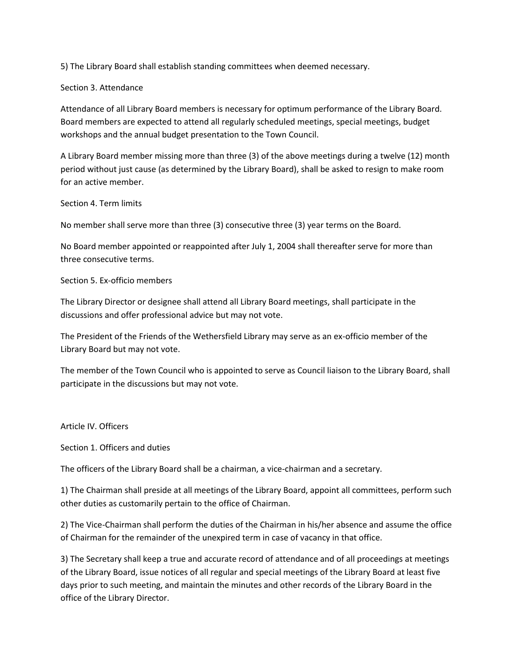5) The Library Board shall establish standing committees when deemed necessary.

### Section 3. Attendance

Attendance of all Library Board members is necessary for optimum performance of the Library Board. Board members are expected to attend all regularly scheduled meetings, special meetings, budget workshops and the annual budget presentation to the Town Council.

A Library Board member missing more than three (3) of the above meetings during a twelve (12) month period without just cause (as determined by the Library Board), shall be asked to resign to make room for an active member.

#### Section 4. Term limits

No member shall serve more than three (3) consecutive three (3) year terms on the Board.

No Board member appointed or reappointed after July 1, 2004 shall thereafter serve for more than three consecutive terms.

#### Section 5. Ex-officio members

The Library Director or designee shall attend all Library Board meetings, shall participate in the discussions and offer professional advice but may not vote.

The President of the Friends of the Wethersfield Library may serve as an ex-officio member of the Library Board but may not vote.

The member of the Town Council who is appointed to serve as Council liaison to the Library Board, shall participate in the discussions but may not vote.

### Article IV. Officers

Section 1. Officers and duties

The officers of the Library Board shall be a chairman, a vice-chairman and a secretary.

1) The Chairman shall preside at all meetings of the Library Board, appoint all committees, perform such other duties as customarily pertain to the office of Chairman.

2) The Vice-Chairman shall perform the duties of the Chairman in his/her absence and assume the office of Chairman for the remainder of the unexpired term in case of vacancy in that office.

3) The Secretary shall keep a true and accurate record of attendance and of all proceedings at meetings of the Library Board, issue notices of all regular and special meetings of the Library Board at least five days prior to such meeting, and maintain the minutes and other records of the Library Board in the office of the Library Director.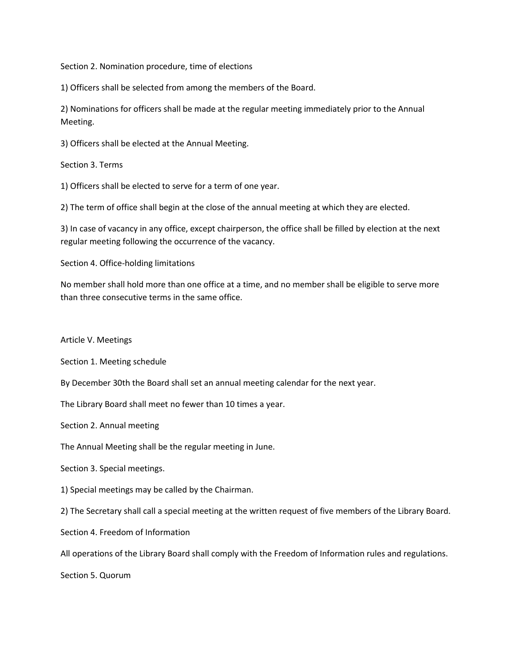Section 2. Nomination procedure, time of elections

1) Officers shall be selected from among the members of the Board.

2) Nominations for officers shall be made at the regular meeting immediately prior to the Annual Meeting.

3) Officers shall be elected at the Annual Meeting.

Section 3. Terms

1) Officers shall be elected to serve for a term of one year.

2) The term of office shall begin at the close of the annual meeting at which they are elected.

3) In case of vacancy in any office, except chairperson, the office shall be filled by election at the next regular meeting following the occurrence of the vacancy.

Section 4. Office-holding limitations

No member shall hold more than one office at a time, and no member shall be eligible to serve more than three consecutive terms in the same office.

Article V. Meetings

Section 1. Meeting schedule

By December 30th the Board shall set an annual meeting calendar for the next year.

The Library Board shall meet no fewer than 10 times a year.

Section 2. Annual meeting

The Annual Meeting shall be the regular meeting in June.

Section 3. Special meetings.

1) Special meetings may be called by the Chairman.

2) The Secretary shall call a special meeting at the written request of five members of the Library Board.

Section 4. Freedom of Information

All operations of the Library Board shall comply with the Freedom of Information rules and regulations.

Section 5. Quorum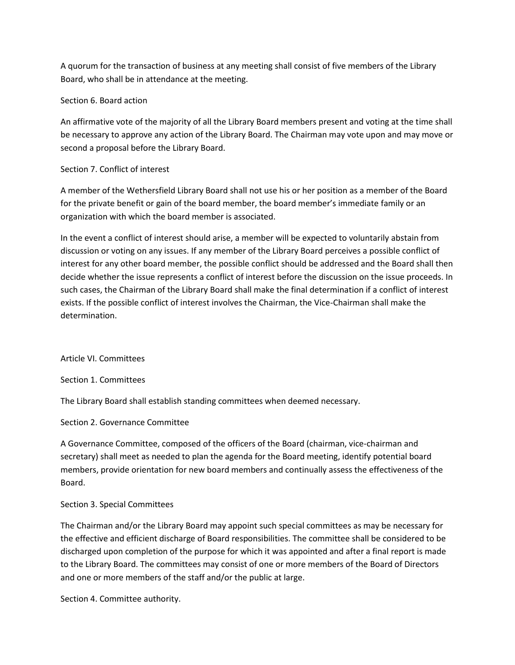A quorum for the transaction of business at any meeting shall consist of five members of the Library Board, who shall be in attendance at the meeting.

## Section 6. Board action

An affirmative vote of the majority of all the Library Board members present and voting at the time shall be necessary to approve any action of the Library Board. The Chairman may vote upon and may move or second a proposal before the Library Board.

# Section 7. Conflict of interest

A member of the Wethersfield Library Board shall not use his or her position as a member of the Board for the private benefit or gain of the board member, the board member's immediate family or an organization with which the board member is associated.

In the event a conflict of interest should arise, a member will be expected to voluntarily abstain from discussion or voting on any issues. If any member of the Library Board perceives a possible conflict of interest for any other board member, the possible conflict should be addressed and the Board shall then decide whether the issue represents a conflict of interest before the discussion on the issue proceeds. In such cases, the Chairman of the Library Board shall make the final determination if a conflict of interest exists. If the possible conflict of interest involves the Chairman, the Vice-Chairman shall make the determination.

### Article VI. Committees

Section 1. Committees

The Library Board shall establish standing committees when deemed necessary.

Section 2. Governance Committee

A Governance Committee, composed of the officers of the Board (chairman, vice-chairman and secretary) shall meet as needed to plan the agenda for the Board meeting, identify potential board members, provide orientation for new board members and continually assess the effectiveness of the Board.

# Section 3. Special Committees

The Chairman and/or the Library Board may appoint such special committees as may be necessary for the effective and efficient discharge of Board responsibilities. The committee shall be considered to be discharged upon completion of the purpose for which it was appointed and after a final report is made to the Library Board. The committees may consist of one or more members of the Board of Directors and one or more members of the staff and/or the public at large.

Section 4. Committee authority.